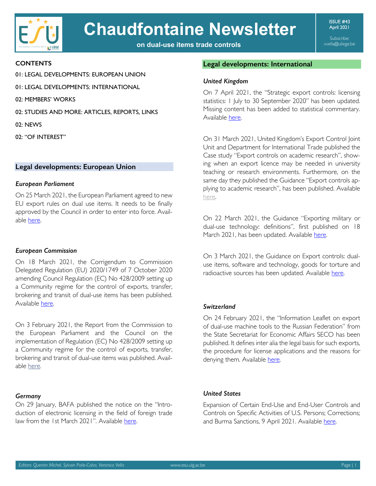

Subscribe: vvella@uliege.be

### **CONTENTS**

01: LEGAL DEVELOPMENTS: EUROPEAN UNION

01: LEGAL DEVELOPMENTS: INTERNATIONAL

02: MEMBERS' WORKS

02: STUDIES AND MORE: ARTICLES, REPORTS, LINKS

02: NEWS

02: "OF INTEREST"

### **Legal developments: European Union**

### *European Parliament*

On 25 March 2021, the European Parliament agreed to new EU export rules on dual use items. It needs to be finally approved by the Council in order to enter into force. Available here.

### *European Commission*

On 18 March 2021, the Corrigendum to Commission Delegated Regulation (EU) 2020/1749 of 7 October 2020 amending Council Regulation (EC) No 428/2009 setting up a Community regime for the control of exports, transfer, brokering and transit of dual-use items has been published. Available here.

On 3 February 2021, the Report from the Commission to the European Parliament and the Council on the implementation of Regulation (EC) No 428/2009 setting up a Community regime for the control of exports, transfer, brokering and transit of dual-use items was published. Available here.

### *Germany*

On 29 January, BAFA published the notice on the "Introduction of electronic licensing in the field of foreign trade law from the 1st March 2021". Available here.

### **Legal developments: International**

### *United Kingdom*

On 7 April 2021, the "Strategic export controls: licensing statistics: 1 July to 30 September 2020" has been updated. Missing content has been added to statistical commentary. Available here.

On 31 March 2021, United Kingdom's Export Control Joint Unit and Department for International Trade published the Case study "Export controls on academic research", showing when an export licence may be needed in university teaching or research environments. Furthermore, on the same day they published the Guidance "Export controls applying to academic research", has been published. Available here.

On 22 March 2021, the Guidance "Exporting military or dual-use technology: definitions", first published on 18 March 2021, has been updated. Available here.

On 3 March 2021, the Guidance on Export controls: dualuse items, software and technology, goods for torture and radioactive sources has been updated. Available here.

### *Switzerland*

On 24 February 2021, the "Information Leaflet on export of dual-use machine tools to the Russian Federation" from the State Secretariat for Economic Affairs SECO has been published. It defines inter alia the legal basis for such exports, the procedure for license applications and the reasons for denying them. Available here.

### *United States*

Expansion of Certain End-Use and End-User Controls and Controls on Specific Activities of U.S. Persons; Corrections; and Burma Sanctions, 9 April 2021. Available here.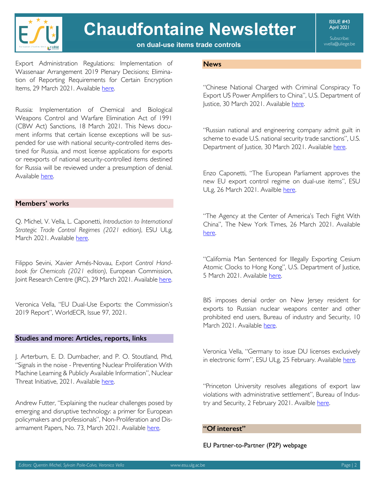

# **Chaudfontaine Newsletter**

**on dual-use items trade controls**

ISSUE #43 April 2021

Subscribe: vvella@uliege.be

Export Administration Regulations: Implementation of Wassenaar Arrangement 2019 Plenary Decisions; Elimination of Reporting Requirements for Certain Encryption Items, 29 March 2021. Available here.

Russia: Implementation of Chemical and Biological Weapons Control and Warfare Elimination Act of 1991 (CBW Act) Sanctions, 18 March 2021. This News document informs that certain license exceptions will be suspended for use with national security-controlled items destined for Russia, and most license applications for exports or reexports of national security-controlled items destined for Russia will be reviewed under a presumption of denial. Available here.

# **Members' works**

Q. Michel, V. Vella, L. Caponetti, *Introduction to International Strategic Trade Control Regimes (2021 edition),* ESU ULg, March 2021. Available here.

Filippo Sevini, Xavier Arnés-Novau, *Export Control Handbook for Chemicals (2021 edition)*, European Commission, Joint Research Centre (JRC), 29 March 2021. Available here.

Veronica Vella, "EU Dual-Use Exports: the Commission's 2019 Report", WorldECR, Issue 97, 2021.

### **Studies and more: Articles, reports, links**

J. Arterburn, E. D. Dumbacher, and P. O. Stoutland, Phd, "Signals in the noise - Preventing Nuclear Proliferation With Machine Learning & Publicly Available Information", Nuclear Threat Initiative, 2021. Available here.

Andrew Futter, "Explaining the nuclear challenges posed by emerging and disruptive technology: a primer for European policymakers and professionals", Non-Proliferation and Disarmament Papers, No. 73, March 2021. Available here.

# **News**

"Chinese National Charged with Criminal Conspiracy To Export US Power Amplifiers to China", U.S. Department of Justice, 30 March 2021. Available here.

"Russian national and engineering company admit guilt in scheme to evade U.S. national security trade sanctions", U.S. Department of Justice, 30 March 2021. Available here.

Enzo Caponetti, "The European Parliament approves the new EU export control regime on dual-use items", ESU ULg, 26 March 2021. Availble here.

"The Agency at the Center of America's Tech Fight With China", The New York Times, 26 March 2021. Available here.

"California Man Sentenced for Illegally Exporting Cesium Atomic Clocks to Hong Kong", U.S. Department of Justice, 5 March 2021. Available here.

BIS imposes denial order on New Jersey resident for exports to Russian nuclear weapons center and other prohibited end users, Bureau of industry and Security, 10 March 2021. Available here.

Veronica Vella, "Germany to issue DU licenses exclusively in electronic form", ESU ULg, 25 February. Available here.

"Princeton University resolves allegations of export law violations with administrative settlement", Bureau of Industry and Security, 2 February 2021. Availble here.

## **"Of interest"**

### EU Partner-to-Partner (P2P) webpage